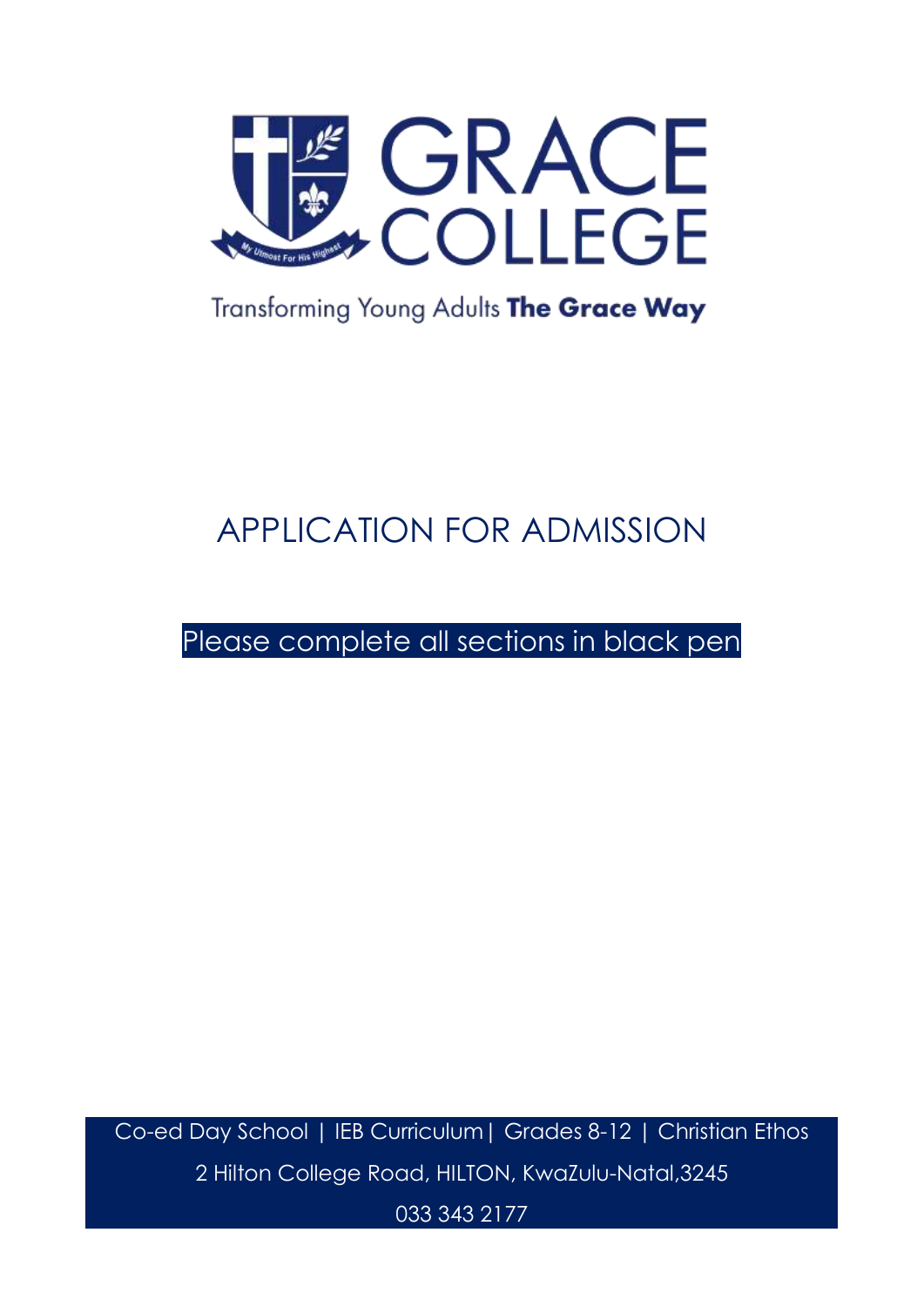

## Transforming Young Adults The Grace Way

# APPLICATION FOR ADMISSION

## Please complete all sections in black pen

Co-ed Day School | IEB Curriculum| Grades 8-12 | Christian Ethos 2 Hilton College Road, HILTON, KwaZulu-Natal,3245

033 343 2177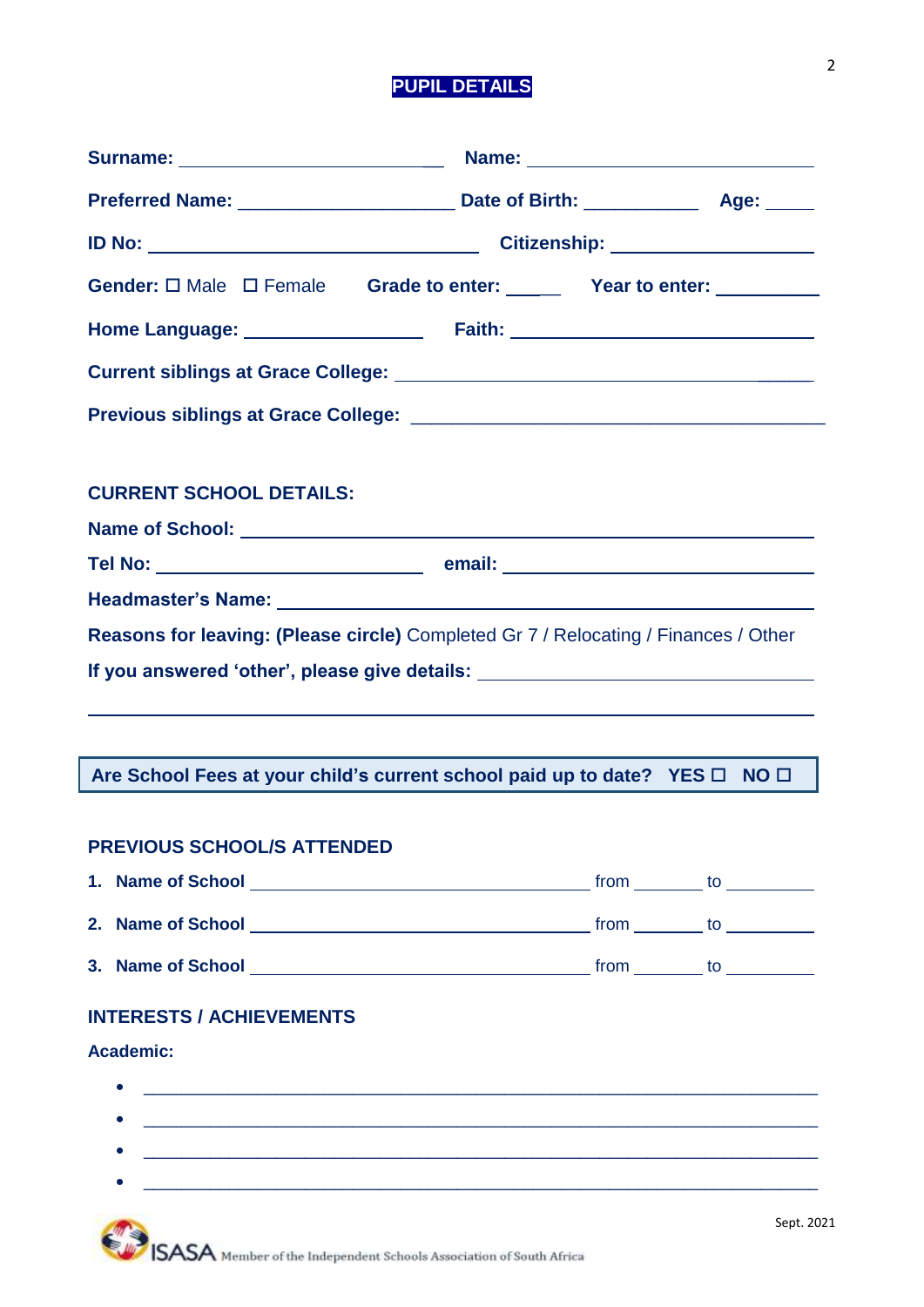## **PUPIL DETAILS**

| Gender: $\square$ Male $\square$ Female Grade to enter: ______ Year to enter: ___________                                  |  |  |  |
|----------------------------------------------------------------------------------------------------------------------------|--|--|--|
|                                                                                                                            |  |  |  |
|                                                                                                                            |  |  |  |
|                                                                                                                            |  |  |  |
|                                                                                                                            |  |  |  |
| <b>CURRENT SCHOOL DETAILS:</b>                                                                                             |  |  |  |
|                                                                                                                            |  |  |  |
|                                                                                                                            |  |  |  |
|                                                                                                                            |  |  |  |
| <b>Reasons for leaving: (Please circle)</b> Completed Gr 7 / Relocating / Finances / Other                                 |  |  |  |
| If you answered 'other', please give details: __________________________________                                           |  |  |  |
|                                                                                                                            |  |  |  |
|                                                                                                                            |  |  |  |
| Are School Fees at your child's current school paid up to date? YES $\Box$ NO $\Box$                                       |  |  |  |
| <b>PREVIOUS SCHOOL/S ATTENDED</b>                                                                                          |  |  |  |
|                                                                                                                            |  |  |  |
|                                                                                                                            |  |  |  |
|                                                                                                                            |  |  |  |
| <b>INTERESTS / ACHIEVEMENTS</b>                                                                                            |  |  |  |
| <b>Academic:</b>                                                                                                           |  |  |  |
| <u> 1999 - Johann John Stone, market fan de Amerikaanske kommunister fan de Amerikaanske kommunister fan de Amerikaans</u> |  |  |  |
| <u> 1989 - Andrea Branden, amerikan basar basa dan berasal dan berasal dalam basa dalam basa dalam basa dalam ba</u>       |  |  |  |
|                                                                                                                            |  |  |  |
| <u> 1989 - Johann Barbara, marka a shekara tsa na shekara tsa na shekara tsa 1989 - An tsa na shekara tsa 198</u>          |  |  |  |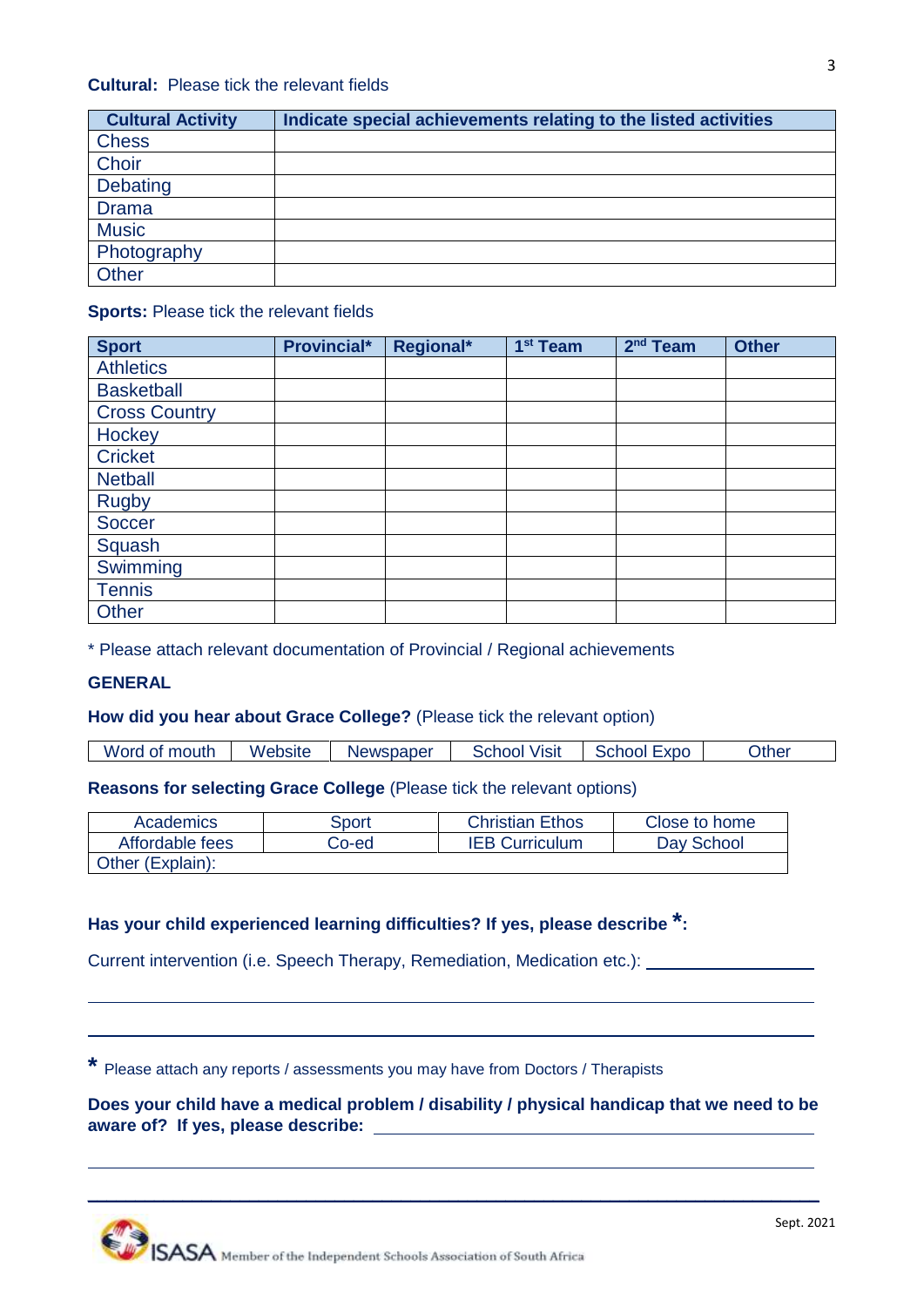| <b>Cultural Activity</b> | Indicate special achievements relating to the listed activities |
|--------------------------|-----------------------------------------------------------------|
| <b>Chess</b>             |                                                                 |
| Choir                    |                                                                 |
| Debating                 |                                                                 |
| <b>Drama</b>             |                                                                 |
| <b>Music</b>             |                                                                 |
| Photography              |                                                                 |
| <b>Other</b>             |                                                                 |

#### **Sports: Please tick the relevant fields**

| <b>Sport</b>         | <b>Provincial*</b> | Regional* | 1 <sup>st</sup> Team | $2nd$ Team | <b>Other</b> |
|----------------------|--------------------|-----------|----------------------|------------|--------------|
| <b>Athletics</b>     |                    |           |                      |            |              |
| <b>Basketball</b>    |                    |           |                      |            |              |
| <b>Cross Country</b> |                    |           |                      |            |              |
| Hockey               |                    |           |                      |            |              |
| <b>Cricket</b>       |                    |           |                      |            |              |
| <b>Netball</b>       |                    |           |                      |            |              |
| <b>Rugby</b>         |                    |           |                      |            |              |
| <b>Soccer</b>        |                    |           |                      |            |              |
| Squash               |                    |           |                      |            |              |
| Swimming             |                    |           |                      |            |              |
| <b>Tennis</b>        |                    |           |                      |            |              |
| Other                |                    |           |                      |            |              |

\* Please attach relevant documentation of Provincial / Regional achievements

### **GENERAL**

### **How did you hear about Grace College?** (Please tick the relevant option)

Word of mouth | Website | Newspaper | School Visit | School Expo | Other

**Reasons for selecting Grace College** (Please tick the relevant options)

| Academics        | Sport | <b>Christian Ethos</b> | Close to home |
|------------------|-------|------------------------|---------------|
| Affordable fees  | Co-ed | <b>IEB Curriculum</b>  | Day School    |
| Other (Explain): |       |                        |               |

## **Has your child experienced learning difficulties? If yes, please describe \* :**

Current intervention (i.e. Speech Therapy, Remediation, Medication etc.):

**\*** Please attach any reports / assessments you may have from Doctors / Therapists

**Does your child have a medical problem / disability / physical handicap that we need to be aware of? If yes, please describe:** 

 $\_$  , and the set of the set of the set of the set of the set of the set of the set of the set of the set of the set of the set of the set of the set of the set of the set of the set of the set of the set of the set of th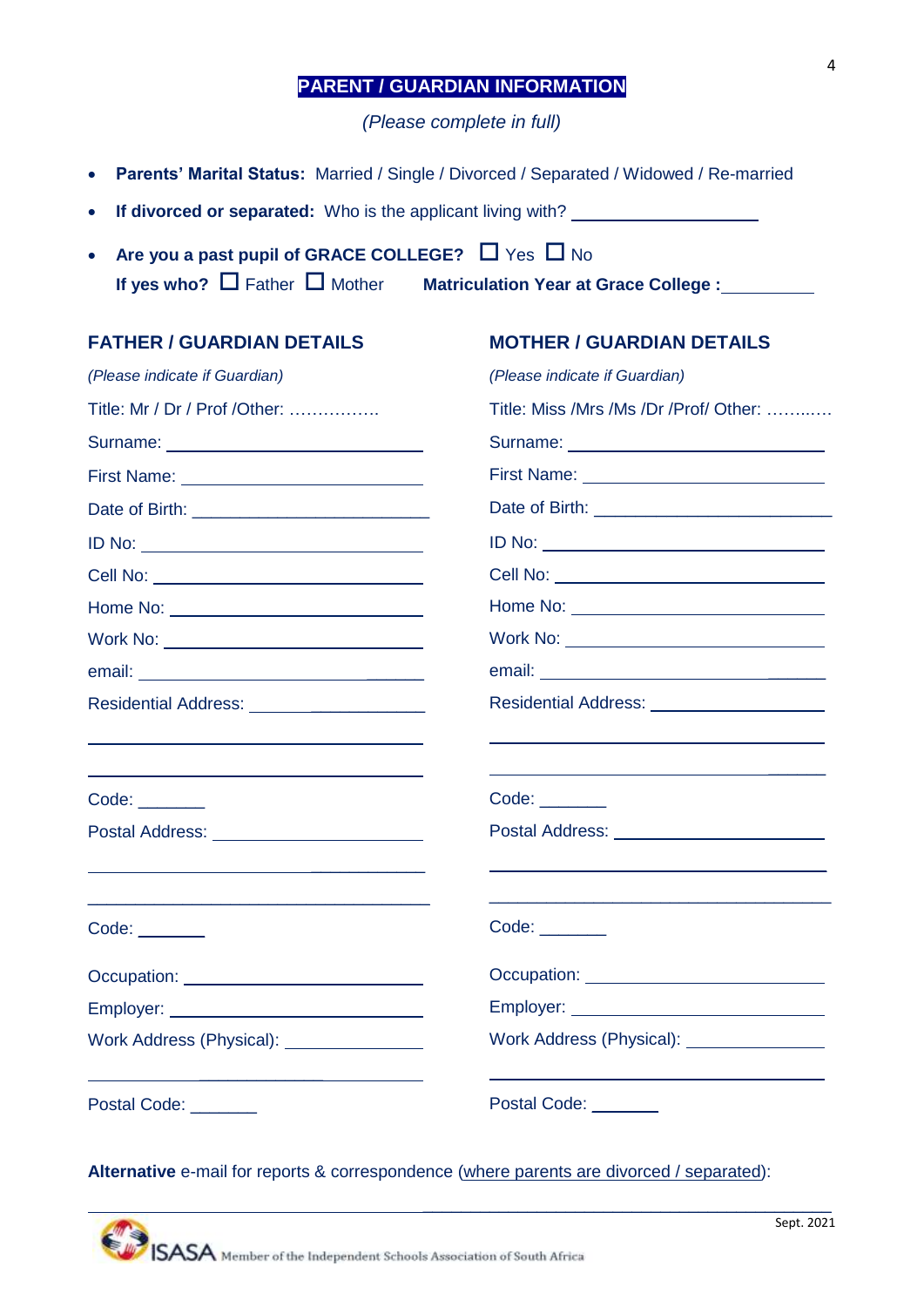## **PARENT / GUARDIAN INFORMATION**

*(Please complete in full)*

- **Parents' Marital Status:** Married / Single / Divorced / Separated / Widowed / Re-married
- **If divorced or separated:** Who is the applicant living with?
- Are you a past pupil of GRACE COLLEGE?  $\Box$  Yes  $\Box$  No If yes who?  $\Box$  Father  $\Box$  Mother **Matriculation Year at Grace College :** \_\_\_\_\_\_\_\_\_

| <b>FATHER / GUARDIAN DETAILS</b>           | <b>MOTHER / GUARDIAN DETAILS</b>             |
|--------------------------------------------|----------------------------------------------|
| (Please indicate if Guardian)              | (Please indicate if Guardian)                |
| Title: Mr / Dr / Prof / Other:             | Title: Miss /Mrs /Ms /Dr /Prof/ Other:       |
|                                            |                                              |
|                                            |                                              |
|                                            |                                              |
|                                            |                                              |
|                                            |                                              |
|                                            |                                              |
| Work No: _________________________________ |                                              |
|                                            |                                              |
| Residential Address: _____________________ | Residential Address: _______________________ |
|                                            |                                              |
|                                            |                                              |
| Code:                                      |                                              |
|                                            | Postal Address: _________________________    |
|                                            |                                              |
| Code:                                      | Code:                                        |
|                                            | Occupation: _______________________________  |
|                                            |                                              |
|                                            | Work Address (Physical): <u>[1994]</u>       |
| Postal Code: _______                       | Postal Code: _______                         |

**Alternative** e-mail for reports & correspondence (where parents are divorced / separated):

 $\mathcal{L}_\text{max}$  and  $\mathcal{L}_\text{max}$  and  $\mathcal{L}_\text{max}$  and  $\mathcal{L}_\text{max}$  and  $\mathcal{L}_\text{max}$